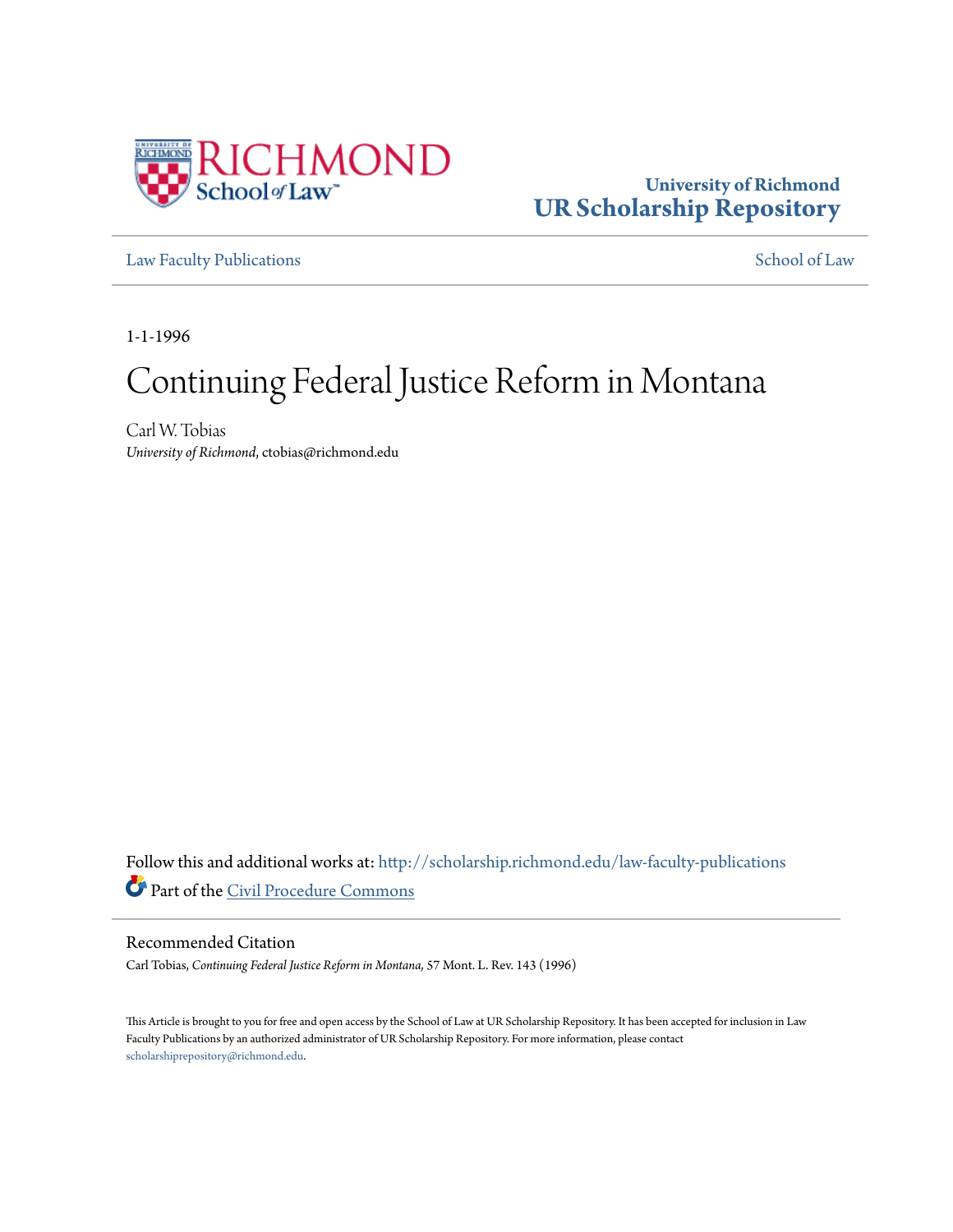

# **University of Richmond [UR Scholarship Repository](http://scholarship.richmond.edu?utm_source=scholarship.richmond.edu%2Flaw-faculty-publications%2F836&utm_medium=PDF&utm_campaign=PDFCoverPages)**

[Law Faculty Publications](http://scholarship.richmond.edu/law-faculty-publications?utm_source=scholarship.richmond.edu%2Flaw-faculty-publications%2F836&utm_medium=PDF&utm_campaign=PDFCoverPages) [School of Law](http://scholarship.richmond.edu/law?utm_source=scholarship.richmond.edu%2Flaw-faculty-publications%2F836&utm_medium=PDF&utm_campaign=PDFCoverPages)

1-1-1996

# Continuing Federal Justice Reform in Montana

Carl W. Tobias *University of Richmond*, ctobias@richmond.edu

Follow this and additional works at: [http://scholarship.richmond.edu/law-faculty-publications](http://scholarship.richmond.edu/law-faculty-publications?utm_source=scholarship.richmond.edu%2Flaw-faculty-publications%2F836&utm_medium=PDF&utm_campaign=PDFCoverPages) Part of the [Civil Procedure Commons](http://network.bepress.com/hgg/discipline/584?utm_source=scholarship.richmond.edu%2Flaw-faculty-publications%2F836&utm_medium=PDF&utm_campaign=PDFCoverPages)

#### Recommended Citation

Carl Tobias, *Continuing Federal Justice Reform in Montana,* 57 Mont. L. Rev. 143 (1996)

This Article is brought to you for free and open access by the School of Law at UR Scholarship Repository. It has been accepted for inclusion in Law Faculty Publications by an authorized administrator of UR Scholarship Repository. For more information, please contact [scholarshiprepository@richmond.edu.](mailto:scholarshiprepository@richmond.edu)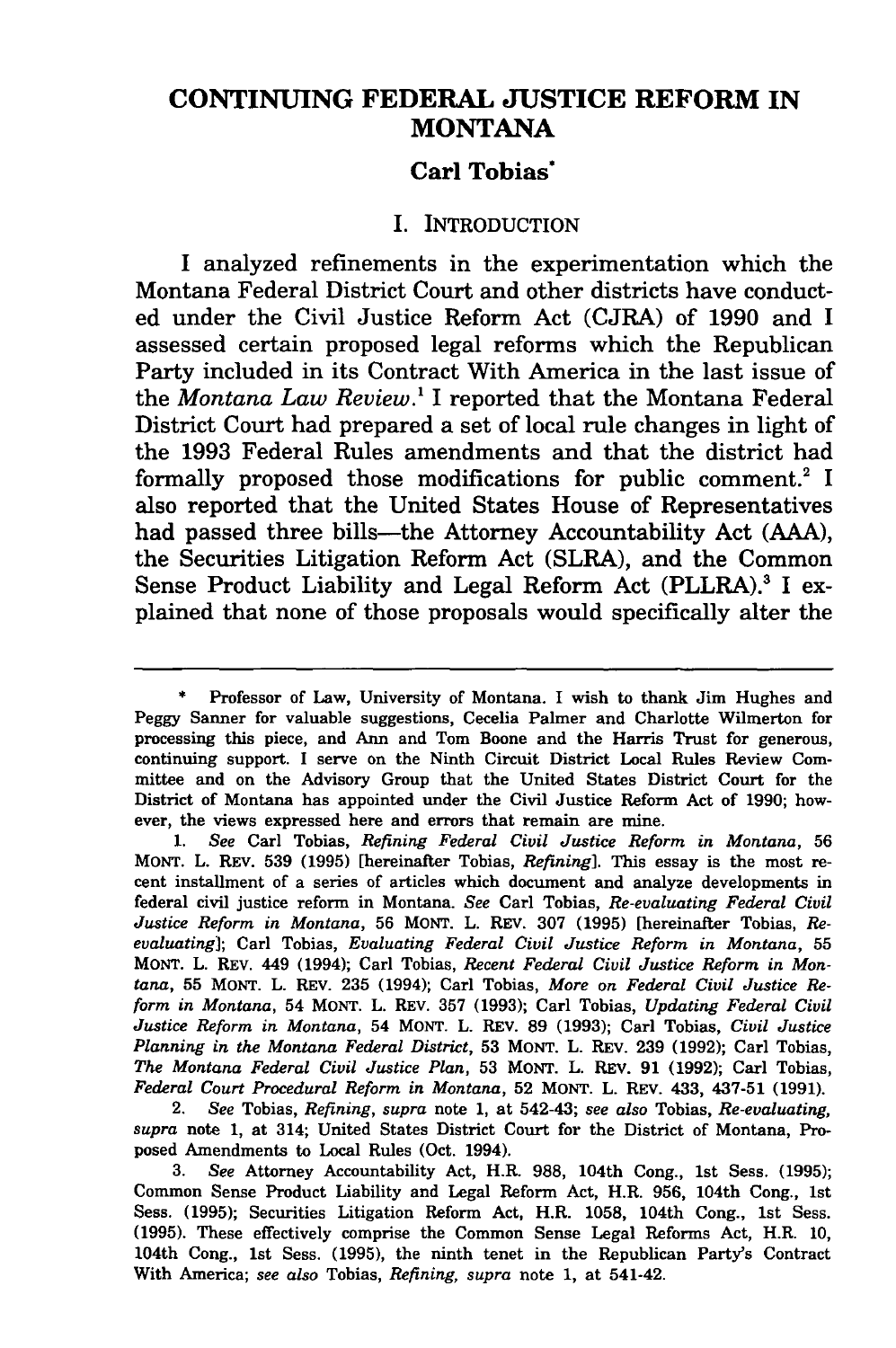# **CONTINUING FEDERAL JUSTICE REFORM IN MONTANA**

### **Carl Tobias·**

#### I. INTRODUCTION

I analyzed refinements in the experimentation which the Montana Federal District Court and other districts have conducted under the Civil Justice Reform Act (CJRA) of 1990 and I assessed certain proposed legal reforms which the Republican Party included in its Contract With America in the last issue of the *Montana Law Review. <sup>1</sup>*I reported that the Montana Federal District Court had prepared a set of local rule changes in light of the 1993 Federal Rules amendments and that the district had formally proposed those modifications for public comment.<sup>2</sup> I also reported that the United States House of Representatives had passed three bills—the Attorney Accountability Act (AAA), the Securities Litigation Reform Act (SLRA), and the Common Sense Product Liability and Legal Reform Act (PLLRA).<sup>3</sup> I explained that none of those proposals would specifically alter the

2. *See* Tobias, *Refining, supra* note 1, at 542-43; *see also* Tobias, *Re-evaluating, supra* note 1, at 314; United States District Court for the District of Montana, Proposed Amendments to Local Rules (Oct. 1994).

Professor of Law, University of Montana. I wish to thank Jim Hughes and Peggy Sanner for valuable suggestions, Cecelia Palmer and Charlotte Wilmerton for processing this piece, and Ann and Tom Boone and the Harris Trust for generous, continuing support. I serve on the Ninth Circuit District Local Rules Review Committee and on the Advisory Group that the United States District Court for the District of Montana has appointed under the Civil Justice Reform Act of 1990; however, the views expressed here and errors that remain are mine.

<sup>1.</sup> *See* Carl Tobias, *Refining Federal Civil Justice Reform in Montana,* 56 MONT. L. REV. 539 (1995) [hereinafter Tobias, *Refining].* This essay is the most recent installment of a series of articles which document and analyze developments in federal civil justice reform in Montana. *See* Carl Tobias, *Re-evaluating Federal Civil Justice Reform in Montana,* 56 MONT. L. REV. 307 (1995) [hereinafter Tobias, *Reevaluating];* Carl Tobias, *Evaluating Federal Civil Justice Reform in Montana,* 55 MONT. L. REV. 449 (1994); Carl Tobias, *Recent Federal Civil Justice Reform in Montana,* 55 MONT. L. REV. 235 (1994); Carl Tobias, *More on Federal Civil Justice Reform in Montana,* 54 MONT. L. REV. 357 (1993); Carl Tobias, *Updating Federal Civil Justice Reform in Montana,* 54 MONT. L. REV. 89 (1993); Carl Tobias, *Civil Justice Planning in the Montana Federal District,* 53 MONT. L. REv. 239 (1992); Carl Tobias, *The Montana Federal Civil Justice Plan,* 53 MONT. L. REV. 91 (1992); Carl Tobias, *Federal Court Procedural Reform in Montana,* 52 MONT. L. REV. 433, 437-51 (1991).

<sup>3.</sup> *See* Attorney Accountability Act, H.R. 988, 104th Cong., 1st Sess. (1995); Common Sense Product Liability and Legal Reform Act, H.R. 956, 104th Cong., 1st Sess. (1995); Securities Litigation Reform Act, H.R. 1058, 104th Cong., 1st Sess. (1995). These effectively comprise the Common Sense Legal Reforms Act, H.R. 10, 104th Cong., 1st Sess. (1995), the ninth tenet in the Republican Party's Contract With America; *see also* Tobias, *Refining, supra* note 1, at 541-42.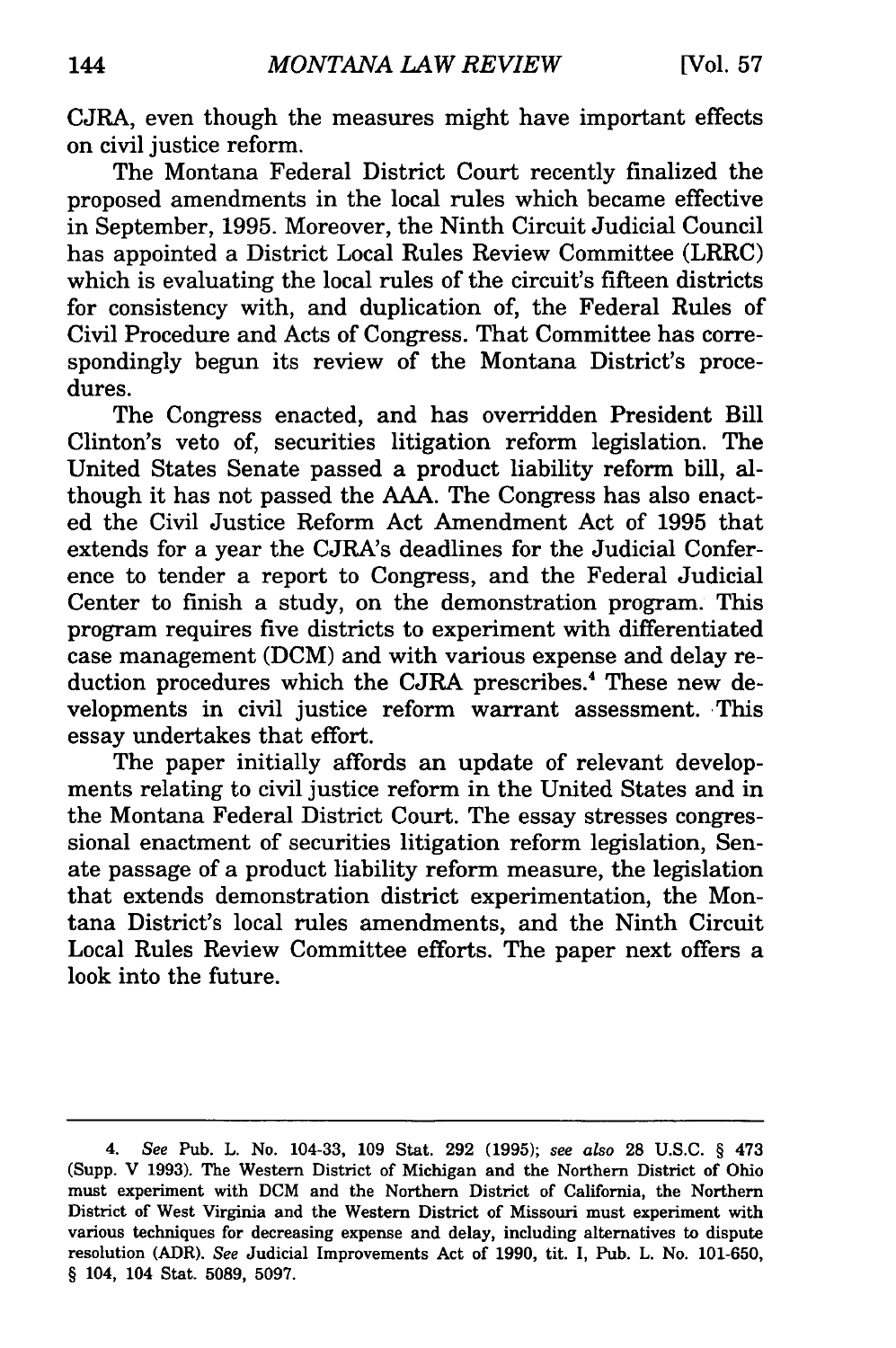CJRA, even though the measures might have important effects on civil justice reform.

The Montana Federal District Court recently finalized the proposed amendments in the local rules which became effective in September, 1995. Moreover, the Ninth Circuit Judicial Council has appointed a District Local Rules Review Committee (LRRC) which is evaluating the local rules of the circuit's fifteen districts for consistency with, and duplication of, the Federal Rules of Civil Procedure and Acts of Congress. That Committee has correspondingly begun its review of the Montana District's procedures.

The Congress enacted, and has overridden President Bill Clinton's veto of, securities litigation reform legislation. The United States Senate passed a product liability reform bill, although it has not passed the AAA. The Congress has also enacted the Civil Justice Reform Act Amendment Act of 1995 that extends for a year the CJRA's deadlines for the Judicial Conference to tender a report to Congress, and the Federal Judicial Center to finish a study, on the demonstration program. This program requires five districts to experiment with differentiated case management (DCM) and with various expense and delay reduction procedures which the CJRA prescribes.<sup>4</sup> These new developments in civil justice reform warrant assessment. This essay undertakes that effort.

The paper initially affords an update of relevant developments relating to civil justice reform in the United States and in the Montana Federal District Court. The essay stresses congressional enactment of securities litigation reform legislation, Senate passage of a product liability reform measure, the legislation that extends demonstration district experimentation, the Montana District's local rules amendments, and the Ninth Circuit Local Rules Review Committee efforts. The paper next offers a look into the future.

<sup>4.</sup> *See* Pub. L. No. 104-33, 109 Stat. 292 (1995); *see also* 28 U.S.C. § 473 (Supp. V 1993). The Western District of Michigan and the Northern District of Ohio must experiment with DCM and the Northern District of California, the Northern District of West Virginia and the Western District of Missouri must experiment with various techniques for decreasing expense and delay, including alternatives to dispute resolution (ADR). *See* Judicial Improvements Act of 1990, tit. I, Pub. L. No. 101-650, § 104, 104 Stat. 5089, 5097.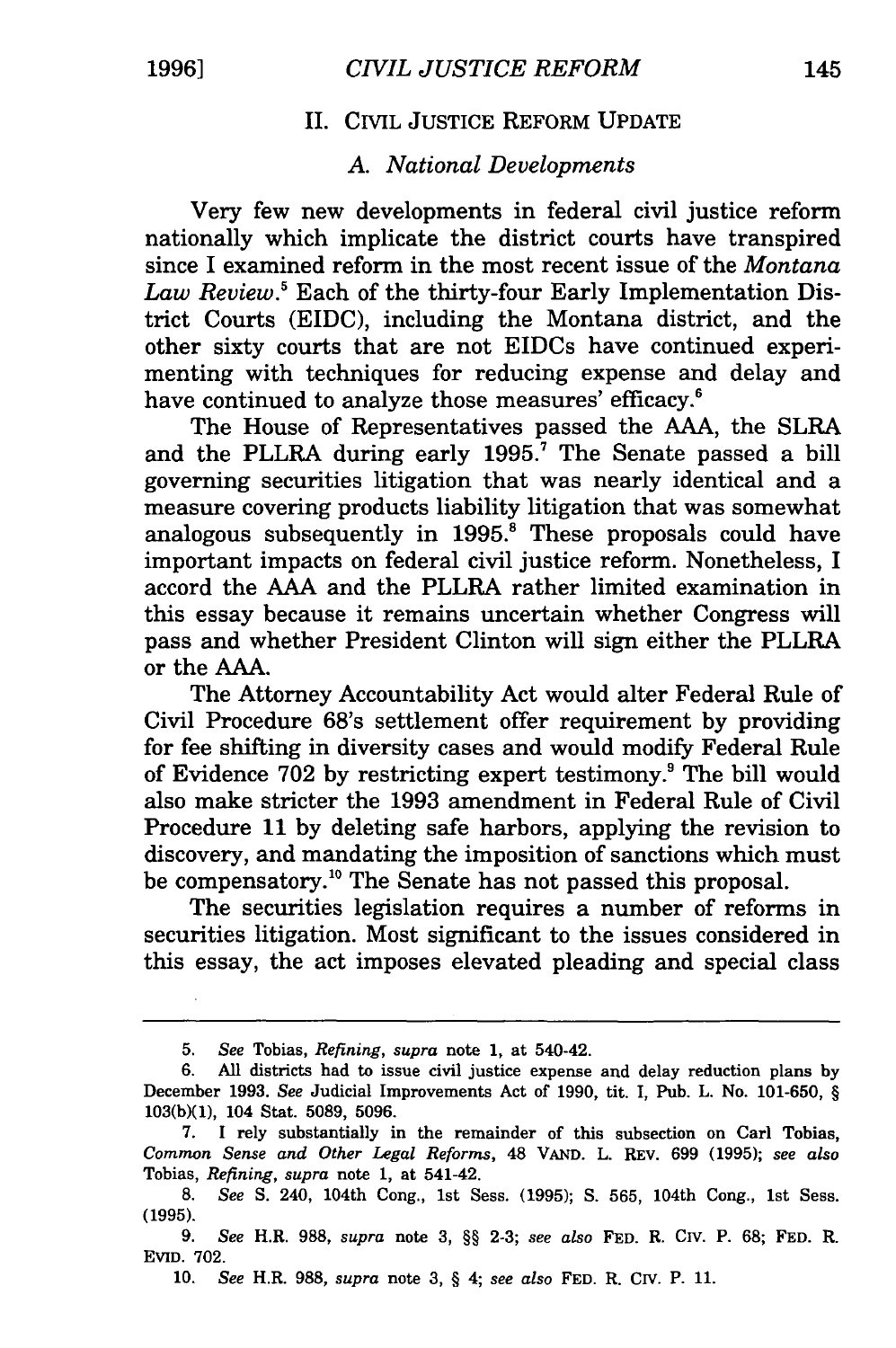#### II. CIVIL JUSTICE REFORM UPDATE

## A. *National Developments*

Very few new developments in federal civil justice reform nationally which implicate the district courts have transpired since I examined reform in the most recent issue of the *Montana Law Review.5* Each of the thirty-four Early Implementation District Courts (EIDC), including the Montana district, and the other sixty courts that are not EIDCs have continued experimenting with techniques for reducing expense and delay and have continued to analyze those measures' efficacy.<sup>6</sup>

The House of Representatives passed the AAA, the SLRA and the PLLRA during early 1995.<sup>7</sup> The Senate passed a bill governing securities litigation that was nearly identical and a measure covering products liability litigation that was somewhat analogous subsequently in 1995.<sup>8</sup> These proposals could have important impacts on federal civil justice reform. Nonetheless, I accord the AAA and the PLLRA rather limited examination in this essay because it remains uncertain whether Congress will pass and whether President Clinton will sign either the PLLRA or the AAA.

The Attorney Accountability Act would alter Federal Rule of Civil Procedure 68's settlement offer requirement by providing for fee shifting in diversity cases and would modify Federal Rule of Evidence  $702$  by restricting expert testimony.<sup>9</sup> The bill would also make stricter the 1993 amendment in Federal Rule of Civil Procedure 11 by deleting safe harbors, applying the revision to discovery, and mandating the imposition of sanctions which must be compensatory. 10 The Senate has not passed this proposal.

The securities legislation requires a number of reforms in securities litigation. Most significant to the issues considered in this essay, the act imposes elevated pleading and special class

<sup>5.</sup> *See* Tobias, *Refining, supra* note 1, at 540-42.

<sup>6.</sup> All districts had to issue civil justice expense and delay reduction plans by December 1993. *See* Judicial Improvements Act of 1990, tit. I, Pub. L. No. 101-650, § 103(b)(1), 104 Stat. 5089, 5096.

<sup>7.</sup> I rely substantially in the remainder of this subsection on Carl Tobias, *Common Sense and Other Legal Reforms,* 48 VAND. L. REV. 699 (1995); *see also*  Tobias, *Refining, supra* note 1, at 541-42.

<sup>8.</sup> *See* S. 240, 104th Cong., 1st Sess. (1995); S. 565, 104th Cong., 1st Sess. (1995).

<sup>9.</sup> *See* H.R. 988, *supra* note 3, §§ 2-3; *see also* FED. R. *CN.* P. 68; FED. R. Evrn. 702.

<sup>10.</sup> *See* H.R. 988, *supra* note 3, § 4; *see also* FED. R. *CN.* P. 11.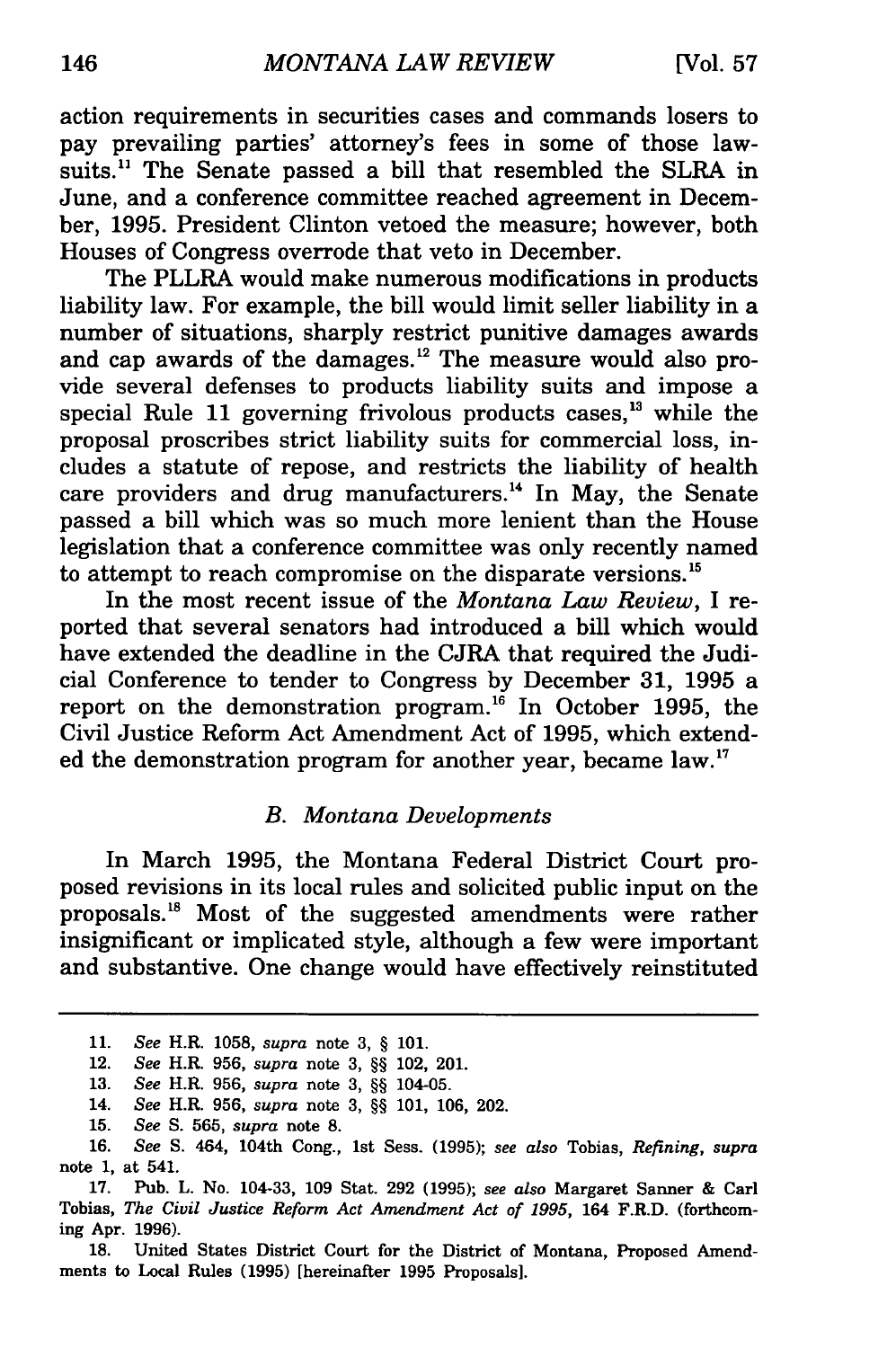action requirements in securities cases and commands losers to pay prevailing parties' attorney's fees in some of those lawsuits.<sup>11</sup> The Senate passed a bill that resembled the SLRA in June, and a conference committee reached agreement in December, 1995. President Clinton vetoed the measure; however, both Houses of Congress overrode that veto in December.

The PLLRA would make numerous modifications in products liability law. For example, the bill would limit seller liability in a number of situations, sharply restrict punitive damages awards and cap awards of the damages.<sup>12</sup> The measure would also provide several defenses to products liability suits and impose a special Rule 11 governing frivolous products cases.<sup>13</sup> while the proposal proscribes strict liability suits for commercial loss, includes a statute of repose, and restricts the liability of health care providers and drug manufacturers.<sup>14</sup> In May, the Senate passed a bill which was so much more lenient than the House legislation that a conference committee was only recently named to attempt to reach compromise on the disparate versions. 15

In the most recent issue of the *Montana Law Review,* I reported that several senators had introduced a bill which would have extended the deadline in the CJRA that required the Judicial Conference to tender to Congress by December 31, 1995 a report on the demonstration program.<sup>16</sup> In October 1995, the Civil Justice Reform Act Amendment Act of 1995, which extended the demonstration program for another year, became law.<sup>17</sup>

#### *B. Montana Developments*

In March 1995, the Montana Federal District Court proposed revisions in its local rules and solicited public input on the proposals. 18 Most of the suggested amendments were rather insignificant or implicated style, although a few were important and substantive. One change would have effectively reinstituted

<sup>11.</sup> *See* R.R. 1058, *supra* note 3, § 101.

<sup>12.</sup> *See* R.R. 956, *supra* note 3, §§ 102, 201.

<sup>13.</sup> *See* R.R. 956, *supra* note 3, §§ 104-05.

<sup>14.</sup> *See* R.R. 956, *supra* note 3, §§ 101, 106, 202.

<sup>15.</sup> *See* S. 565, *supra* note 8.

<sup>16.</sup> *See* S. 464, 104th Cong., 1st Sess. {1995); *see also* Tobias, *Refining, supra*  note 1, at 541.

<sup>17.</sup> Pub. L. No. 104-33, 109 Stat. 292 (1995); *see also* Margaret Sanner & Carl Tobias, *The Civil Justice Reform Act Amendment Act of 1995,* 164 F.R.D. (forthcoming Apr. 1996).

<sup>18.</sup> United States District Court for the District of Montana, Proposed Amendments to Local Rules {1995) [hereinafter 1995 Proposals].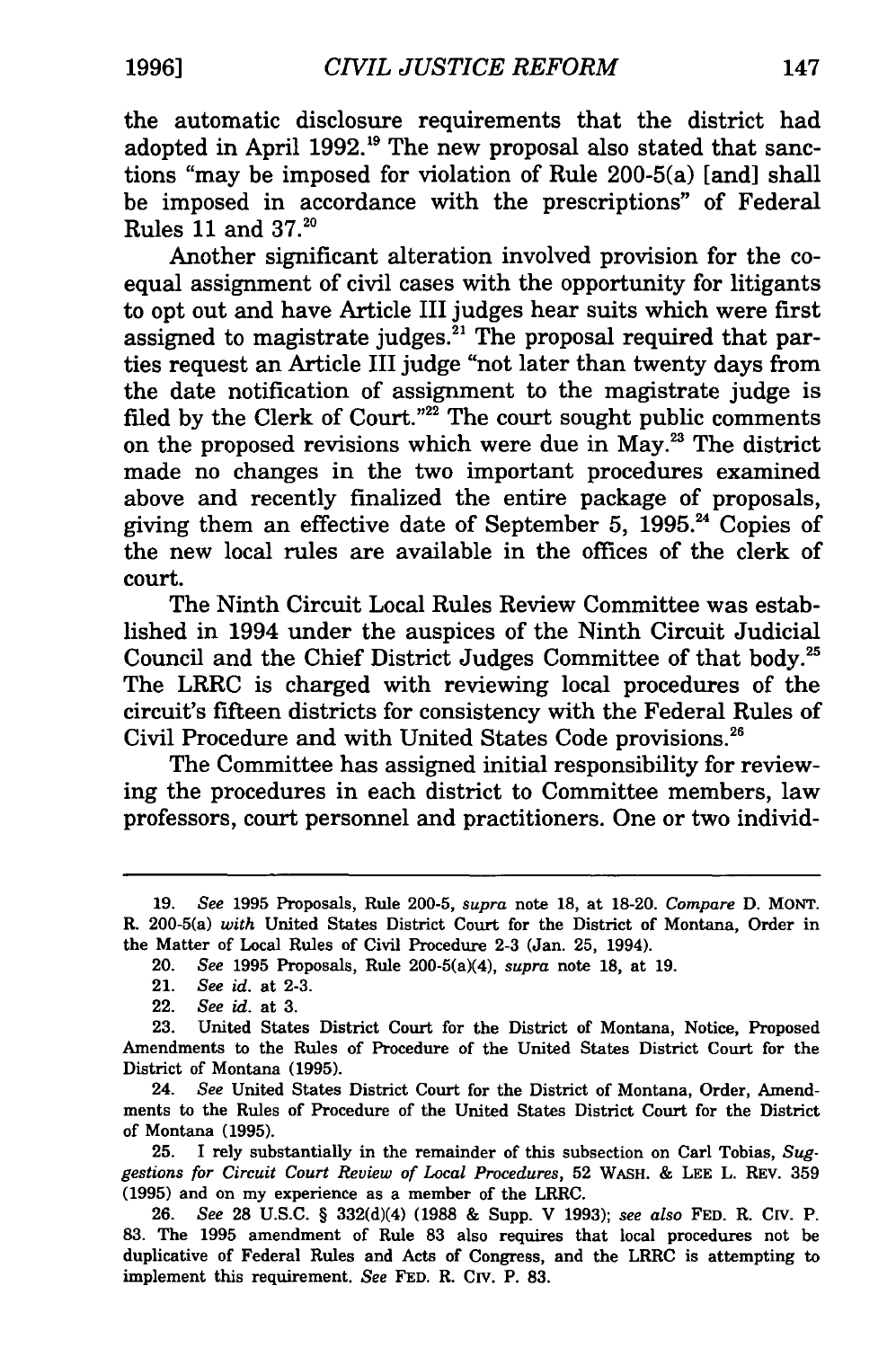the automatic disclosure requirements that the district had adopted in April 1992.<sup>19</sup> The new proposal also stated that sanctions "may be imposed for violation of Rule 200-5(a) [and] shall be imposed in accordance with the prescriptions" of Federal Rules 11 and  $37.^{20}$ 

Another significant alteration involved provision for the coequal assignment of civil cases with the opportunity for litigants to opt out and have Article III judges hear suits which were first assigned to magistrate judges.<sup>21</sup> The proposal required that parties request an Article III judge "not later than twenty days from the date notification of assignment to the magistrate judge is filed by the Clerk of Court."<sup>22</sup> The court sought public comments on the proposed revisions which were due in May.<sup>23</sup> The district made no changes in the two important procedures examined above and recently finalized the entire package of proposals, giving them an effective date of September 5, 1995.<sup>24</sup> Copies of the new local rules are available in the offices of the clerk of court.

The Ninth Circuit Local Rules Review Committee was established in 1994 under the auspices of the Ninth Circuit Judicial Council and the Chief District Judges Committee of that body.25 The LRRC is charged with reviewing local procedures of the circuit's fifteen districts for consistency with the Federal Rules of Civil Procedure and with United States Code provisions.<sup>26</sup>

The Committee has assigned initial responsibility for reviewing the procedures in each district to Committee members, law professors, court personnel and practitioners. One or two individ-

24. *See* United States District Court for the District of Montana, Order, Amendments to the Rules of Procedure of the United States District Court for the District of Montana (1995).

25. I rely substantially in the remainder of this subsection on Carl Tobias, *Suggestions for Circuit Court Review of Local Procedures,* 52 WASH. & LEE L. REV. 359 (1995) and on my experience as a member of the LRRC.

26. *See* 28 U.S.C. § 332(d)(4) (1988 & Supp. V 1993); *see also* FED. R. CIV. P. 83. The 1995 amendment of Rule 83 also requires that local procedures not be duplicative of Federal Rules and Acts of Congress, and the LRRC is attempting to implement this requirement. *See* FED. R. CIV. P. 83.

<sup>19.</sup> *See* 1995 Proposals, Rule 200-5, *supra* note 18, at 18-20. *Compare* D. MONT. R. 200-5(a) *with* United States District Court for the District of Montana, Order in the Matter of Local Rules of Civil Procedure 2-3 (Jan. 25, 1994).

<sup>20.</sup> *See* 1995 Proposals, Rule 200-5(a)(4), *supra* note 18, at 19.

<sup>21.</sup> *See* id. at 2-3.

<sup>22.</sup> *See* id. at 3.

<sup>23.</sup> United States District Court for the District of Montana, Notice, Proposed Amendments to the Rules of Procedure of the United States District Court for the District of Montana (1995).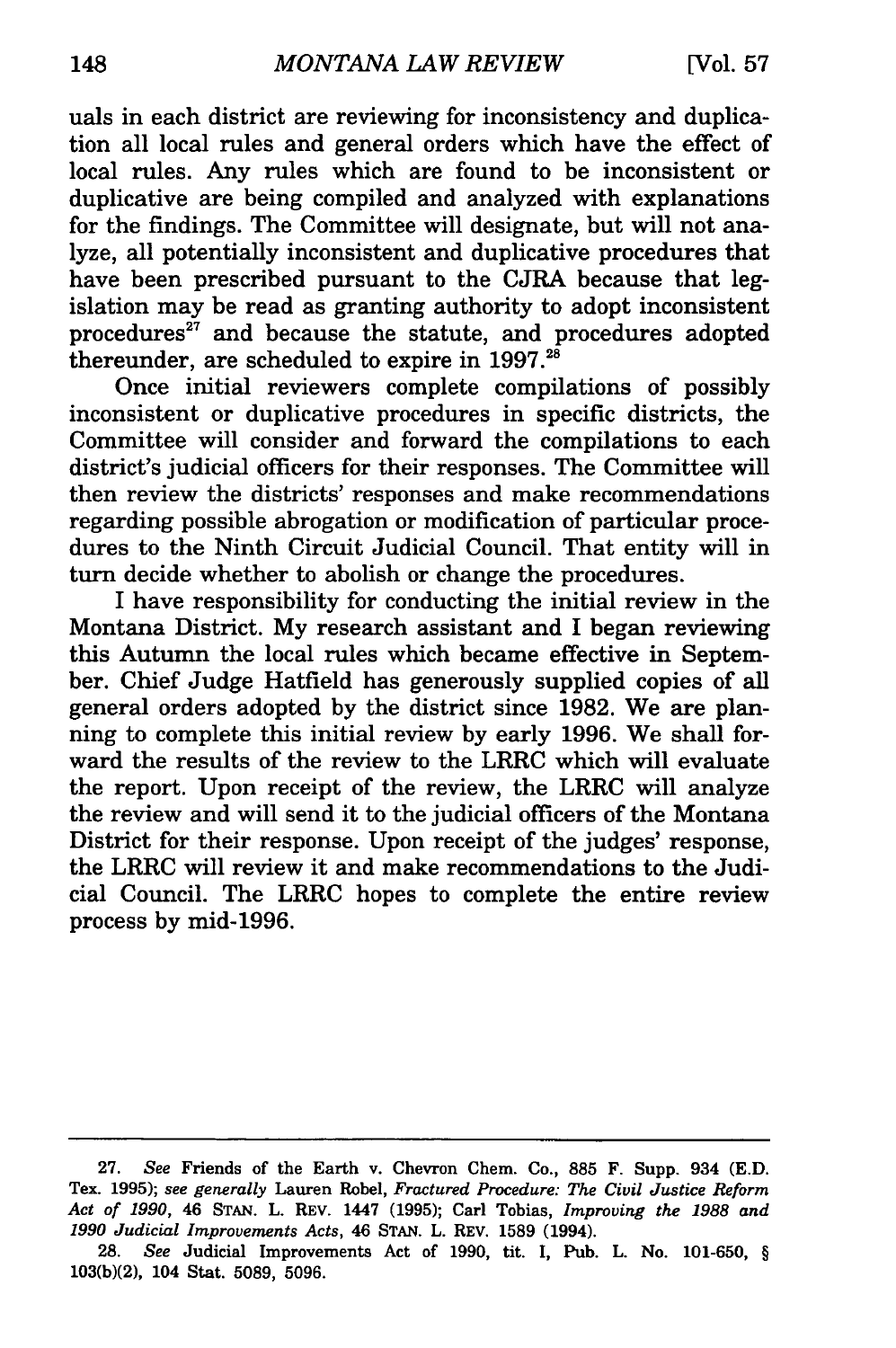uals in each district are reviewing for inconsistency and duplication all local rules and general orders which have the effect of local rules. Any rules which are found to be inconsistent or duplicative are being compiled and analyzed with explanations for the findings. The Committee will designate, but will not analyze, all potentially inconsistent and duplicative procedures that have been prescribed pursuant to the CJRA because that legislation may be read as granting authority to adopt inconsistent procedures<sup>27</sup> and because the statute, and procedures adopted thereunder, are scheduled to expire in  $1997.^{28}$ 

Once initial reviewers complete compilations of possibly inconsistent or duplicative procedures in specific districts, the Committee will consider and forward the compilations to each district's judicial officers for their responses. The Committee will then review the districts' responses and make recommendations regarding possible abrogation or modification of particular procedures to the Ninth Circuit Judicial Council. That entity will in turn decide whether to abolish or change the procedures.

I have responsibility for conducting the initial review in the Montana District. My research assistant and I began reviewing this Autumn the local rules which became effective in September. Chief Judge Hatfield has generously supplied copies of all general orders adopted by the district since 1982. We are planning to complete this initial review by early 1996. We shall forward the results of the review to the LRRC which will evaluate the report. Upon receipt of the review, the LRRC will analyze the review and will send it to the judicial officers of the Montana District for their response. Upon receipt of the judges' response, the LRRC will review it and make recommendations to the Judicial Council. The LRRC hopes to complete the entire review process by mid-1996.

<sup>27.</sup> *See* Friends of the Earth v. Chevron Chem. Co., 885 F. Supp. 934 (E.D. Tex. 1995); *see generally* Lauren Robel, *Fractured Procedure: The Civil Justice Reform Act of 1990,* 46 STAN. L. R.Ev. 1447 (1995); Carl Tobias, *Improving the 1988 and 1990 Judicial Improvements Acts,* 46 STAN. L. REV. 1589 (1994).

<sup>28.</sup> *See* Judicial Improvements Act of 1990, tit. I, Pub. L. No. 101-650, § 103(b)(2), 104 Stat. 5089, 5096.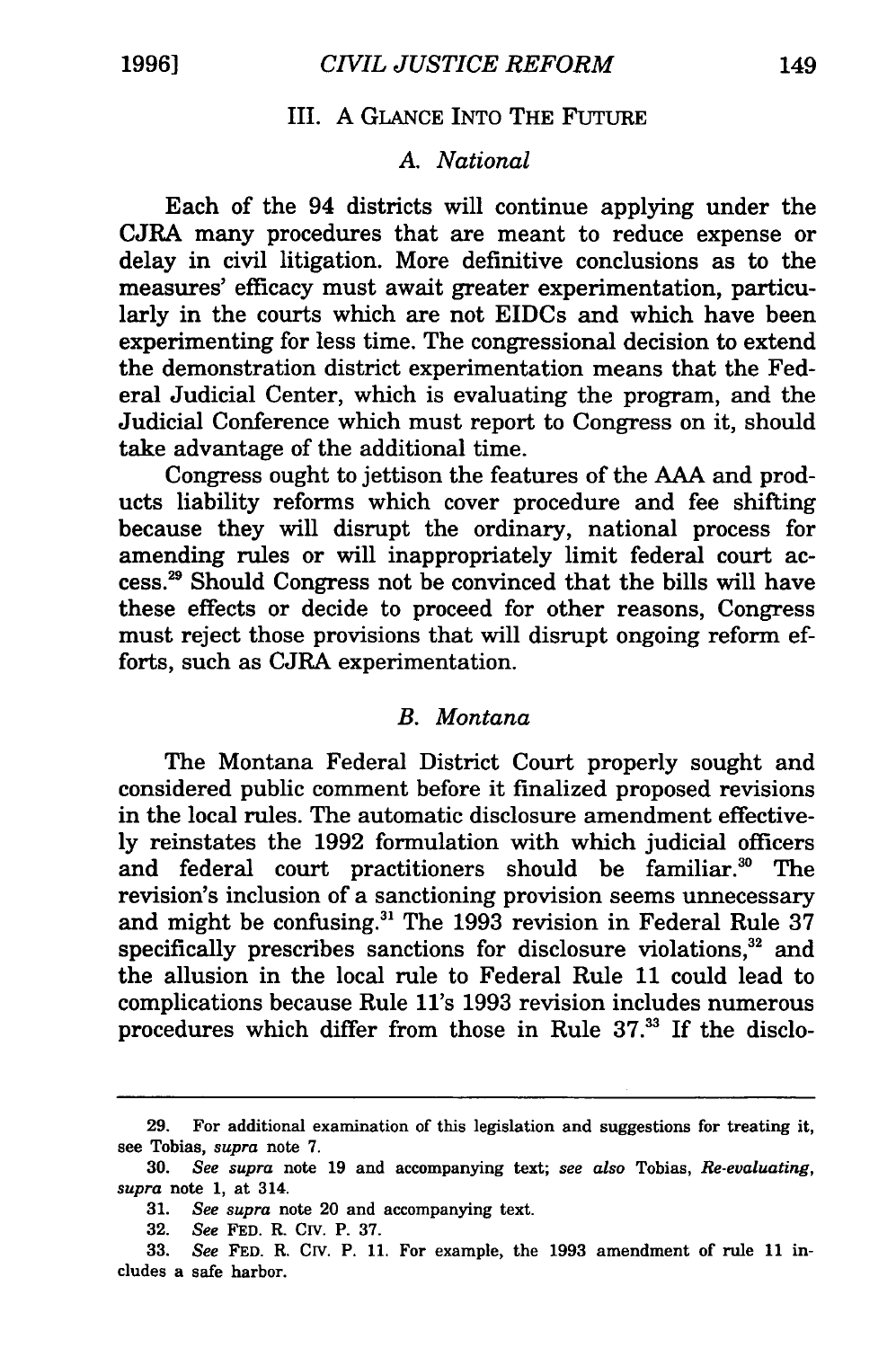# III. A GLANCE INTO THE FuTURE

#### *A. National*

Each of the 94 districts will continue applying under the CJRA many procedures that are meant to reduce expense or delay in civil litigation. More definitive conclusions as to the measures' efficacy must await greater experimentation, particularly in the courts which are not EIDCs and which have been experimenting for less time. The congressional decision to extend the demonstration district experimentation means that the Federal Judicial Center, which is evaluating the program, and the Judicial Conference which must report to Congress on it, should take advantage of the additional time.

Congress ought to jettison the features of the AAA and products liability reforms which cover procedure and fee shifting because they will disrupt the ordinary, national process for amending rules or will inappropriately limit federal court access.29 Should Congress not be convinced that the bills will have these effects or decide to proceed for other reasons, Congress must reject those provisions that will disrupt ongoing reform efforts, such as CJRA experimentation.

#### B. *Montana*

The Montana Federal District Court properly sought and considered public comment before it finalized proposed revisions in the local rules. The automatic disclosure amendment effectively reinstates the 1992 formulation with which judicial officers and federal court practitioners should be familiar.<sup>30</sup> The revision's inclusion of a sanctioning provision seems unnecessary and might be confusing.<sup>31</sup> The 1993 revision in Federal Rule 37 specifically prescribes sanctions for disclosure violations. $32$  and the allusion in the local rule to Federal Rule 11 could lead to complications because Rule 11's 1993 revision includes numerous procedures which differ from those in Rule 37.<sup>33</sup> If the disclo-

<sup>29.</sup> For additional examination of this legislation and suggestions for treating it, see Tobias, *supra* note 7.

<sup>30.</sup> *See supra* note 19 and accompanying text; *see also* Tobias, *Re-evaluating, supra* note 1, at 314.

<sup>31.</sup> *See supra* note 20 and accompanying text.

<sup>32.</sup> *See* FED. R. CIV. P. 37.

<sup>33.</sup> *See* FED. R. CIV. P. 11. For example, the 1993 amendment of rule 11 includes a safe harbor.